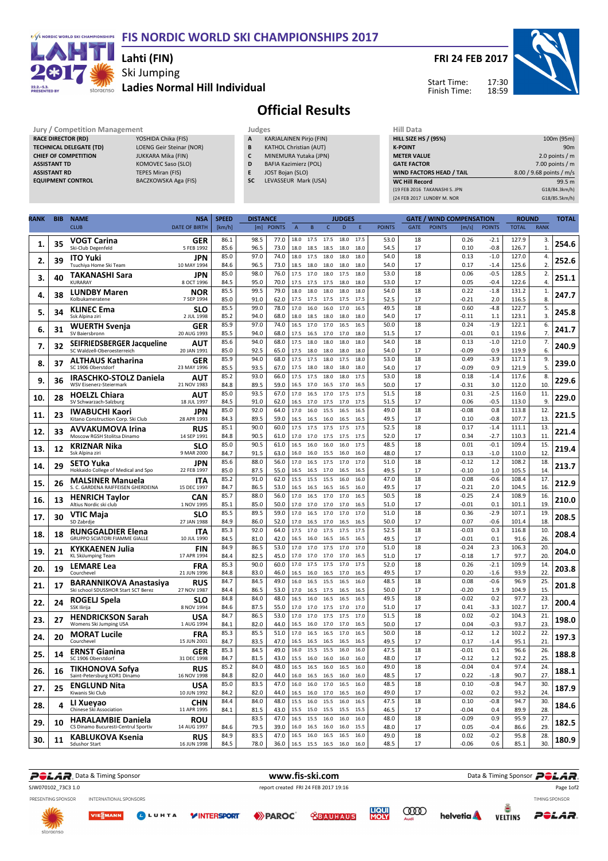#### F/S NORDIC WORLD SKI CHAMPIONSHIPS FIS NORDIC WORLD SKI CHAMPIONSHIPS 2017



### Ski Jumping Ladies Normal Hill Individual Lahti (FIN)

FRI 24 FEB 2017



Start Time: Finish Time:

# Official Results

**TECHNICAL DELEGATE (TD)** LOENG Geir Steinar (<br>CHIEF OF COMPETITION JUKKARA Mika (FIN) **CHIEF OF COMPETITION**<br>ASSISTANT TD ASSISTANT TD KOMOVEC Saso (SLO) ASSISTANT RD<br>
ASSISTANT RD<br>
EQUIPMENT CONTROL<br>
BACZKOWSKA Aga

Jury / Competition Management<br> **RACE DIRECTOR (RD)** YOSHIDA Chika (FIS) **A KARJALAINEN Pirjo (FIN)** HILL SIZE<br>
TECHNICAL DELEGATE (TD) LOENG Geir Steinar (NOR) **B** KATHOL Christian (AUT) **K-POINT** RACE DIRECTOR (RD) YOSHIDA Chika (FIS)<br>TECHNICAL DELEGATE (TD) LOENG Geir Steinar (NOR) BACZKOWSKA Aga (FIS)

- karjalainen Pirjo (FIN)
- **B** KATHOL Christian (AUT)<br>**C** MINEMURA Yutaka (JPN
- C MINEMURA Yutaka (JPN)<br>D BAFIA Kazimierz (POL)
- D BAFIA Kazimierz (POL)<br>E JOST Bojan (SLO) E JOST Bojan (SLO)
- SC LEVASSEUR Mark (USA)

| пш иата                         |                          |
|---------------------------------|--------------------------|
| <b>HILL SIZE HS / (95%)</b>     | 100m (95m)               |
| <b>K-POINT</b>                  | 90 <sub>m</sub>          |
| <b>METER VALUE</b>              | 2.0 points $/m$          |
| <b>GATE FACTOR</b>              | 7.00 points $/m$         |
| <b>WIND FACTORS HEAD / TAIL</b> | 8.00 / 9.68 points / m/s |
| <b>WC Hill Record</b>           | 99.5 m                   |
| (19 FEB 2016 TAKANASHI S. JPN   | G18/84.3km/h)            |
| (24 FEB 2017 LUNDBY M. NOR      | G18/85.5km/h)            |
|                                 |                          |

| RANK | <b>BIB</b> | <b>NAME</b>                                                 | <b>NSA</b>               | <b>SPEED</b> | <b>DISTANCE</b> |               |                |              |              | <b>JUDGES</b> |              |               |             |               | <b>GATE / WIND COMPENSATION</b> |                  | <b>ROUND</b>   |                    | <b>TOTAL</b> |
|------|------------|-------------------------------------------------------------|--------------------------|--------------|-----------------|---------------|----------------|--------------|--------------|---------------|--------------|---------------|-------------|---------------|---------------------------------|------------------|----------------|--------------------|--------------|
|      |            | <b>CLUB</b>                                                 | <b>DATE OF BIRTH</b>     | [km/h]       | [m]             | <b>POINTS</b> | $\overline{A}$ | $\, {\bf B}$ | $\mathsf{C}$ | $\mathsf D$   | E            | <b>POINTS</b> | <b>GATE</b> | <b>POINTS</b> | [m/s]                           | <b>POINTS</b>    | <b>TOTAL</b>   | <b>RANK</b>        |              |
| 1.   | 35         | <b>VOGT Carina</b><br>Ski-Club Degenfeld                    | GER<br>5 FEB 1992        | 86.1<br>85.6 | 98.5<br>96.5    | 77.0<br>73.0  | 18.0<br>18.0   | 17.5<br>18.5 | 17.5<br>18.5 | 18.0<br>18.0  | 17.5<br>18.0 | 53.0<br>54.5  | 18<br>17    |               | 0.26<br>0.10                    | $-2.1$<br>$-0.8$ | 127.9<br>126.7 | 3.<br>$\mathbf{1}$ | 254.6        |
|      |            | <b>ITO Yuki</b>                                             | <b>JPN</b>               | 85.0         | 97.0            | 74.0          | 18.0           | 17.5         | 18.0         | 18.0          | 18.0         | 54.0          | 18          |               | 0.13                            | $-1.0$           | 127.0          | 4.                 |              |
| 2.   | 39         | Tsuchiya Home Ski Team                                      | 10 MAY 1994              | 84.6         | 96.5            | 73.0          | 18.5           | 18.0         | 18.0         | 18.0          | 18.0         | 54.0          | 17          |               | 0.17                            | $-1.4$           | 125.6          | 2.                 | 252.6        |
| 3.   | 40         | TAKANASHI Sara                                              | JPN                      | 85.0         | 98.0            | 76.0          | 17.5           | 17.0         | 18.0         | 17.5          | 18.0         | 53.0          | 18          |               | 0.06                            | $-0.5$           | 128.5          | 2.                 | 251.1        |
|      |            | <b>KURARAY</b>                                              | 8 OCT 1996               | 84.5         | 95.0            | 70.0          | 17.5           | 17.5         | 17.5         | 18.0          | 18.0         | 53.0          | 17          |               | 0.05                            | $-0.4$           | 122.6          | 4.                 |              |
| 4.   | 38         | <b>LUNDBY Maren</b><br>Kolbukameratene                      | <b>NOR</b><br>7 SEP 1994 | 85.5<br>85.0 | 99.5<br>91.0    | 79.0<br>62.0  | 18.0<br>17.5   | 18.0<br>17.5 | 18.0         | 18.0          | 18.0<br>17.5 | 54.0<br>52.5  | 18<br>17    |               | 0.22<br>$-0.21$                 | $-1.8$<br>2.0    | 131.2<br>116.5 | $\mathbf{1}$<br>8. | 247.7        |
|      |            | <b>KLINEC Ema</b>                                           | SLO                      | 85.5         | 99.0            | 78.0          | 17.0           | 16.0         | 17.5<br>16.0 | 17.5<br>17.0  | 16.5         | 49.5          | 18          |               | 0.60                            | $-4.8$           | 122.7          | 5.                 |              |
| 5.   | 34         | Ssk Alpina ziri                                             | 2 JUL 1998               | 85.2         | 94.0            | 68.0          | 18.0           | 18.5         | 18.0         | 18.0          | 18.0         | 54.0          | 17          |               | $-0.11$                         | 1.1              | 123.1          | 3.                 | 245.8        |
| 6.   | 31         | <b>WUERTH Svenja</b>                                        | GER                      | 85.9         | 97.0            | 74.0          | 16.5           | 17.0         | 17.0         | 16.5          | 16.5         | 50.0          | 18          |               | 0.24                            | $-1.9$           | 122.1          | 6.                 | 241.7        |
|      |            | SV Baiersbronn                                              | 20 AUG 1993              | 85.5         | 94.0            | 68.0          | 17.5           | 16.5         | 17.0         | 17.0          | 18.0         | 51.5          | 17          |               | $-0.01$                         | 0.1              | 119.6          | 7.                 |              |
| 7.   | 32         | SEIFRIEDSBERGER Jacqueline<br>SC Waldzell-Oberoesterreich   | AUT<br>20 JAN 1991       | 85.6<br>85.0 | 94.0<br>92.5    | 68.0<br>65.0  | 17.5<br>17.5   | 18.0<br>18.0 | 18.0<br>18.0 | 18.0<br>18.0  | 18.0<br>18.0 | 54.0<br>54.0  | 18<br>17    |               | 0.13<br>$-0.09$                 | $-1.0$<br>0.9    | 121.0<br>119.9 | 7.<br>6.           | 240.9        |
|      |            | <b>ALTHAUS Katharina</b>                                    | <b>GER</b>               | 85.9         | 94.0            | 68.0          | 17.5           | 17.5         | 18.0         | 17.5          | 18.0         | 53.0          | 18          |               | 0.49                            | $-3.9$           | 117.1          | 9.                 |              |
| 8.   | 37         | SC 1906 Oberstdorf                                          | 23 MAY 1996              | 85.5         | 93.5            | 67.0          | 17.5           | 18.0         | 18.0         | 18.0          | 18.0         | 54.0          | 17          |               | $-0.09$                         | 0.9              | 121.9          | 5.                 | 239.0        |
| 9.   | 36         | <b>IRASCHKO-STOLZ Daniela</b>                               | AUT                      | 85.2         | 93.0            | 66.0          | 17.5           | 17.5         | 18.0         | 18.0          | 17.5         | 53.0          | 18          |               | 0.18                            | $-1.4$           | 117.6          | 8.                 | 229.6        |
|      |            | <b>WSV Eisenerz-Steiermark</b>                              | 21 NOV 1983              | 84.8         | 89.5            | 59.0          | 16.5           | 17.0         | 16.5         | 17.0          | 16.5         | 50.0          | 17          |               | $-0.31$                         | 3.0              | 112.0          | 10.                |              |
| 10.  | 28         | <b>HOELZL Chiara</b><br>SV Schwarzach-Salzburg              | AUT<br>18 JUL 1997       | 85.0<br>84.5 | 93.5<br>91.0    | 67.0<br>62.0  | 17.0<br>16.5   | 16.5<br>17.0 | 17.0<br>17.5 | 17.5<br>17.0  | 17.5<br>17.5 | 51.5<br>51.5  | 18<br>17    |               | 0.31<br>0.06                    | $-2.5$<br>$-0.5$ | 116.0<br>113.0 | 11.<br>9.          | 229.0        |
|      |            |                                                             | <b>JPN</b>               | 85.0         | 92.0            | 64.0          | 17.0           | 16.0         | 15.5         | 16.5          | 16.5         | 49.0          | 18          |               | $-0.08$                         | 0.8              | 113.8          | 12.                |              |
| 11,  | 23         | <b>IWABUCHI Kaori</b><br>Kitano Construction Corp. Ski Club | 28 APR 1993              | 84.3         | 89.5            | 59.0          | 16.5           | 16.5         | 16.0         | 16.5          | 16.5         | 49.5          | 17          |               | 0.10                            | $-0.8$           | 107.7          | 13.                | 221.5        |
| 12.  | 33         | <b>AVVAKUMOVA Irina</b>                                     | <b>RUS</b>               | 85.1         | 90.0            | 60.0          | 17.5           | 17.5         | 17.5         | 17.5          | 17.5         | 52.5          | 18          |               | 0.17                            | $-1.4$           | 111.1          | 13.                |              |
|      |            | Moscow RGSH Stolitsa Dinamo                                 | 14 SEP 1991              | 84.8         | 90.5            | 61.0          | 17.0           | 17.0         | 17.5         | 17.5          | 17.5         | 52.0          | 17          |               | 0.34                            | $-2.7$           | 110.3          | 11.                | 221.4        |
| 13.  | 12         | KRIZNAR Nika                                                | SLO                      | 85.0         | 90.5            | 61.0          | 16.5           | 16.0         | 16.0         | 16.0          | 17.5         | 48.5          | 18          |               | 0.01                            | $-0.1$           | 109.4          | 15.                | 219.4        |
|      |            | Ssk Alpina ziri                                             | 9 MAR 2000<br>JPN        | 84.7<br>85.6 | 91.5<br>88.0    | 63.0<br>56.0  | 16.0<br>17.0   | 16.0<br>16.5 | 15.5<br>17.5 | 16.0<br>17.0  | 16.0<br>17.0 | 48.0<br>51.0  | 17<br>18    |               | 0.13<br>$-0.12$                 | $-1.0$<br>1.2    | 110.0<br>108.2 | 12.<br>18.         |              |
| 14.  | 29         | <b>SETO Yuka</b><br>Hokkaido College of Medical and Spo     | 22 FEB 1997              | 85.0         | 87.5            | 55.0          | 16.5           | 16.5         | 17.0         | 16.5          | 16.5         | 49.5          | 17          |               | $-0.10$                         | 1.0              | 105.5          | 14.                | 213.7        |
|      |            | <b>MALSINER Manuela</b>                                     | <b>ITA</b>               | 85.2         | 91.0            | 62.0          | 15.5           |              | 15.5 15.5    | 16.0          | 16.0         | 47.0          | 18          |               | 0.08                            | $-0.6$           | 108.4          | 17.                |              |
| 15.  | 26         | S. C. GARDENA RAIFFEISEN GHERDEINA                          | 15 DEC 1997              | 84.7         | 86.5            | 53.0          | 16.5           | 16.5         | 16.5         | 16.5          | 16.0         | 49.5          | 17          |               | $-0.21$                         | 2.0              | 104.5          | 16.                | 212.9        |
| 16.  | 13         | <b>HENRICH Taylor</b>                                       | <b>CAN</b>               | 85.7         | 88.0            | 56.0          | 17.0           | 16.5         | 17.0         | 17.0          | 16.5         | 50.5          | 18          |               | $-0.25$                         | 2.4              | 108.9          | 16.                | 210.0        |
|      |            | Altius Nordic ski club                                      | 1 NOV 1995               | 85.1<br>85.5 | 85.0<br>89.5    | 50.0<br>59.0  | 17.0<br>17.0   | 17.0<br>16.5 | 17.0<br>17.0 | 17.0<br>17.0  | 16.5<br>17.0 | 51.0<br>51.0  | 17<br>18    |               | $-0.01$<br>0.36                 | 0.1<br>$-2.9$    | 101.1<br>107.1 | 19.<br>19.         |              |
| 17.  | 30         | VTIC Maja<br>SD Zabrdje                                     | SLO<br>27 JAN 1988       | 84.9         | 86.0            | 52.0          | 17.0           | 16.5         | 17.0         | 16.5          | 16.5         | 50.0          | 17          |               | 0.07                            | $-0.6$           | 101.4          | 18.                | 208.5        |
| 18.  | 18         | <b>RUNGGALDIER Elena</b>                                    | ITA                      | 85.3         | 92.0            | 64.0          | 17.5           | 17.0         | 17.5         | 17.5          | 17.5         | 52.5          | 18          |               | $-0.03$                         | 0.3              | 116.8          | 10.                | 208.4        |
|      |            | <b>GRUPPO SCIATORI FIAMME GIALLE</b>                        | 10 JUL 1990              | 84.5         | 81.0            | 42.0          | 16.5           | 16.0         | 16.5         | 16.5          | 16.5         | 49.5          | 17          |               | $-0.01$                         | 0.1              | 91.6           | 26.                |              |
| 19.  | 21         | KYKKAENEN Julia                                             | FIN<br>17 APR 1994       | 84.9<br>84.4 | 86.5<br>82.5    | 53.0<br>45.0  | 17.0<br>17.0   | 17.0<br>17.0 | 17.5<br>17.0 | 17.0          | 17.0         | 51.0<br>51.0  | 18<br>17    |               | $-0.24$<br>$-0.18$              | 2.3<br>1.7       | 106.3<br>97.7  | 20.<br>20.         | 204.0        |
|      |            | KL SkiJumping Team                                          | <b>FRA</b>               | 85.3         | 90.0            | 60.0          | 17.0           | 17.5         | 17.5 17.0    | 17.0          | 16.5<br>17.5 | 52.0          | 18          |               | 0.26                            | $-2.1$           | 109.9          | 14.                |              |
| 20.  | 19         | <b>LEMARE Lea</b><br>Courchevel                             | 21 JUN 1996              | 84.8         | 83.0            | 46.0          | 16.5           | 16.0         | 16.5         | 17.0          | 16.5         | 49.5          | 17          |               | 0.20                            | $-1.6$           | 93.9           | 22                 | 203.8        |
| 21.  | 17         | <b>BARANNIKOVA Anastasiya</b>                               | <b>RUS</b>               | 84.7         | 84.5            | 49.0          | 16.0           | 16.5         | 15.5         | 16.5          | 16.0         | 48.5          | 18          |               | 0.08                            | $-0.6$           | 96.9           | 25.                | 201.8        |
|      |            | Ski school SDUSSHOR Start SCT Berez                         | 27 NOV 1987              | 84.4         | 86.5            | 53.0          | 17.0           | 16.5         | 17.5         | 16.5          | 16.5         | 50.0          | 17          |               | $-0.20$                         | 1.9              | 104.9          | 15.                |              |
| 22.  | 24         | ROGELJ Spela<br>SSK Ilirija                                 | <b>SLO</b><br>8 NOV 1994 | 84.8<br>84.6 | 84.0<br>87.5    | 48.0<br>55.0  | 16.5<br>17.0   | 16.0<br>17.0 | 16.5<br>17.5 | 16.5<br>17.0  | 16.5<br>17.0 | 49.5<br>51.0  | 18<br>17    |               | $-0.02$<br>0.41                 | 0.2<br>$-3.3$    | 97.7<br>102.7  | 23.<br>17.         | 200.4        |
|      |            | <b>HENDRICKSON Sarah</b>                                    | USA                      | 84.7         | 86.5            | 53.0          | 17.0           | 17.0         | 17.5         | 17.5          | 17.0         | 51.5          | 18          |               | 0.02                            | $-0.2$           | 104.3          | 21.                |              |
| 23.  | 27         | Womens Ski Jumping USA                                      | 1 AUG 1994               | 84.1         | 82.0            | 44.0          | 16.5           | 16.0         | 17.0         | 17.0          | 16.5         | 50.0          | 17          |               | 0.04                            | $-0.3$           | 93.7           | 23.                | 198.0        |
| 24.  | 20         | <b>MORAT Lucile</b>                                         | FRA                      | 85.3         | 85.5            | 51.0          | 17.0           | 16.5         | 16.5         | 17.0          | 16.5         | 50.0          | 18          |               | $-0.12$                         | 1.2              | 102.2          | 22.                | 197.3        |
|      |            | Courchevel                                                  | 15 JUN 2001              | 84.7         | 83.5            | 47.0          | 16.5           | 16.5         | 16.5         | 16.5          | 16.5         | 49.5          | 17          |               | 0.17                            | $-1.4$           | 95.1           | 21.                |              |
| 25.  | 14         | <b>ERNST Gianina</b><br>SC 1906 Oberstdorf                  | GER<br>31 DEC 1998       | 85.3<br>84.7 | 84.5<br>81.5    | 49.0<br>43.0  | 16.0<br>15.5   | 15.5<br>16.0 | 15.5<br>16.0 | 16.0<br>16.0  | 16.0<br>16.0 | 47.5<br>48.0  | 18<br>17    |               | $-0.01$<br>$-0.12$              | 0.1<br>1.2       | 96.6<br>92.2   | 26.<br>25.         | 188.8        |
|      |            | TIKHONOVA Sofya                                             | <b>RUS</b>               | 85.2         | 84.0            | 48.0          | 16.5           | 16.5         | 16.0         | 16.5          | 16.0         | 49.0          | 18          |               | $-0.04$                         | 0.4              | 97.4           | 24.                |              |
| 26.  | 16         | Saint-Petersburg KOR1 Dinamo                                | 16 NOV 1998              | 84.8         | 82.0            | 44.0          | 16.0           | 16.5         | 16.5 16.0    |               | 16.0         | 48.5          | 17          |               | 0.22                            | $-1.8$           | 90.7           | 27.                | 188.1        |
| 27.  | 25         | <b>ENGLUND Nita</b>                                         | <b>USA</b>               | 85.0         | 83.5            | 47.0          | 16.0           | 16.0         | 17.0         | 16.5          | 16.0         | 48.5          | 18          |               | 0.10                            | $-0.8$           | 94.7           | 30.                | 187.9        |
|      |            | Kiwanis Ski Club                                            | 10 JUN 1992              | 84.2         | 82.0            | 44.0          | 16.5           | 16.0         | 17.0         | 16.5          | 16.0         | 49.0          | 17          |               | $-0.02$                         | 0.2              | 93.2           | 24.                |              |
| 28.  | 4          | LI Xuevao<br>Chinese Ski Association                        | CHN<br>11 APR 1995       | 84.4<br>84.1 | 84.0<br>81.5    | 48.0<br>43.0  | 15.5<br>15.5   | 16.0<br>15.0 | 15.5<br>15.5 | 16.0<br>15.5  | 16.5<br>15.5 | 47.5<br>46.5  | 18<br>17    |               | 0.10<br>$-0.04$                 | $-0.8$<br>0.4    | 94.7<br>89.9   | 30.<br>28.         | 184.6        |
|      |            | <b>HARALAMBIE Daniela</b>                                   | <b>ROU</b>               |              | 83.5            | 47.0          | 16.5           | 15.5         | 16.0         | 16.0          | 16.0         | 48.0          | 18          |               | $-0.09$                         | 0.9              | 95.9           | 27.                |              |
| 29.  | 10         | CS Dinamo Bucuresti-Centrul Sportiv                         | 14 AUG 1997              | 84.6         | 79.5            | 39.0          | 16.0           | 16.5         | 16.0         | 16.0          | 15.5         | 48.0          | 17          |               | 0.05                            | $-0.4$           | 86.6           | 29.                | 182.5        |
| 30.  | 11         | KABLUKOVA Ksenia                                            | <b>RUS</b>               | 84.9         | 83.5            | 47.0          | 16.5           | 16.0         | 16.5         | 16.5          | 16.0         | 49.0          | 18          |               | 0.02                            | $-0.2$           | 95.8           | 28.                | 180.9        |
|      |            | Sdushor Start                                               | 16 JUN 1998              | 84.5         | 78.0            | 36.0          | 16.5           | 15.5         | 16.5         | 16.0          | 16.0         | 48.5          | 17          |               | $-0.06$                         | 0.6              | 85.1           | 30.                |              |